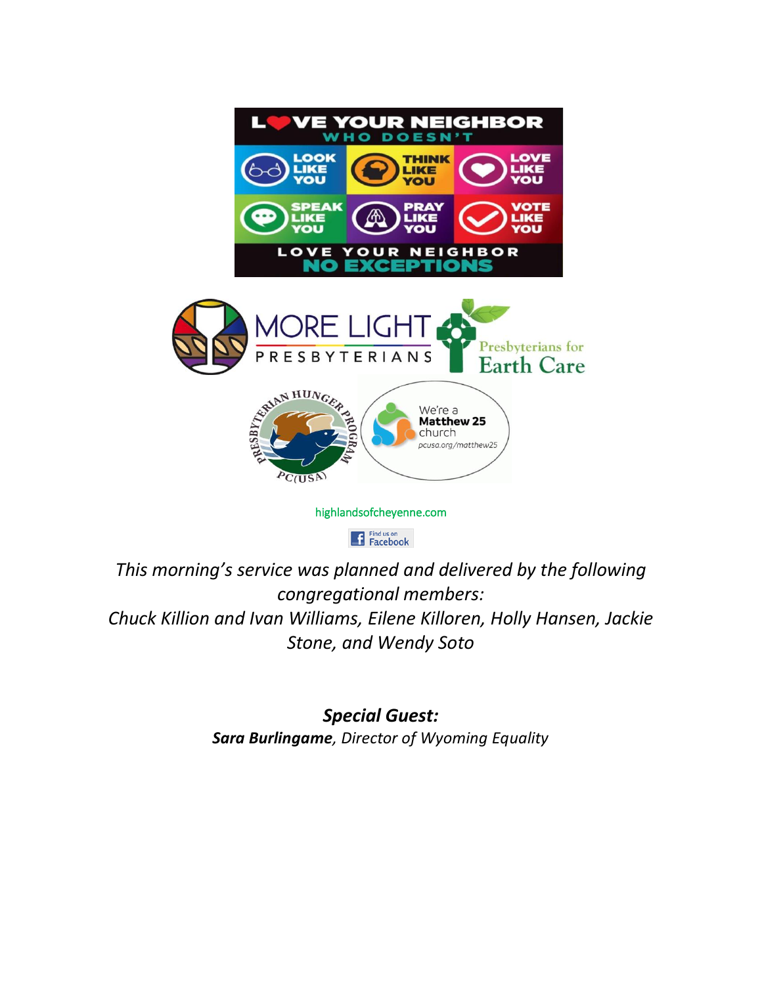

Find us on<br>Facebook

*This morning's service was planned and delivered by the following congregational members: Chuck Killion and Ivan Williams, Eilene Killoren, Holly Hansen, Jackie Stone, and Wendy Soto*

> *Special Guest: Sara Burlingame, Director of Wyoming Equality*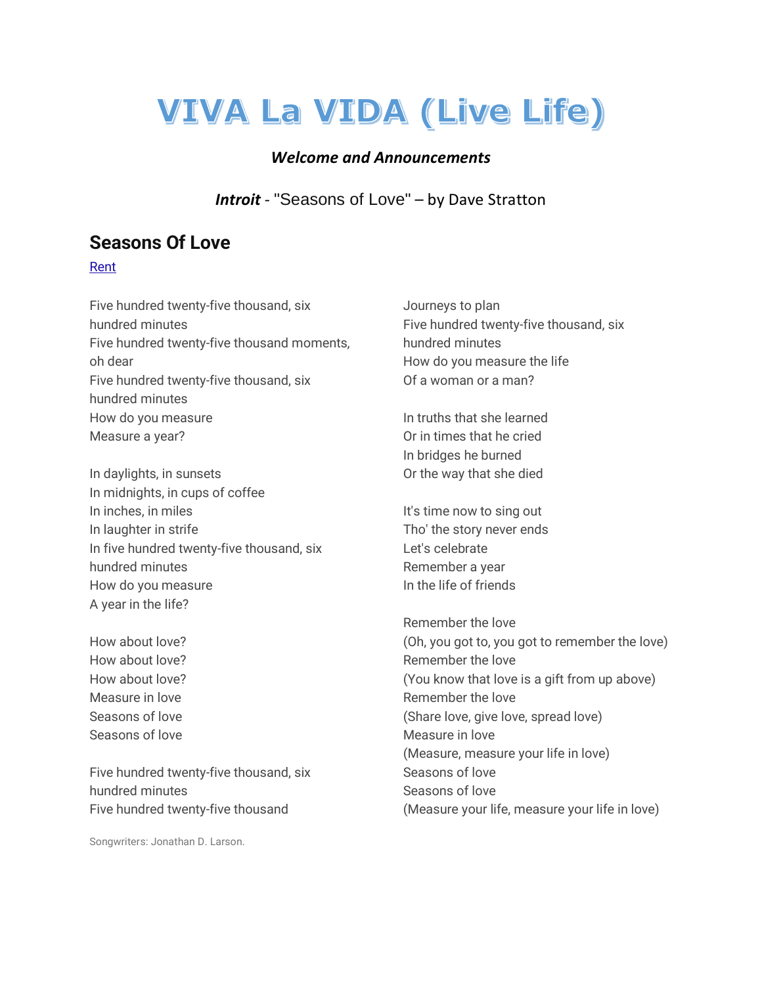# **VIVA La VIDA (Live Life)**

#### *Welcome and Announcements*

*Introit* - "Seasons of Love" – by Dave Stratton

# **Seasons Of Love**

#### [Rent](https://www.bing.com/ck/a?!&&p=95fb53589075a7ad6107196a1e41bfe90d9ae91a2def361186263a7909f75601JmltdHM9MTY1MzE0MjM2MSZpZ3VpZD1lZWRlYWJhMi1jYmE3LTQ4ZTUtOTZkMi0zNjMyMmNjYTg0ODQmaW5zaWQ9NTM5Mg&ptn=3&fclid=1359a0b0-d910-11ec-8d3b-ae9bdef971a4&u=a1aHR0cHM6Ly93d3cuYmluZy5jb20vc2VhcmNoP3E9UmVudCZGT1JNPVNOQVBTVA&ntb=1)

Five hundred twenty-five thousand, six hundred minutes Five hundred twenty-five thousand moments, oh dear Five hundred twenty-five thousand, six hundred minutes How do you measure Measure a year?

In daylights, in sunsets In midnights, in cups of coffee In inches, in miles In laughter in strife In five hundred twenty-five thousand, six hundred minutes How do you measure A year in the life?

How about love? How about love? How about love? Measure in love Seasons of love Seasons of love

Five hundred twenty-five thousand, six hundred minutes Five hundred twenty-five thousand

Songwriters: Jonathan D. Larson.

Journeys to plan Five hundred twenty-five thousand, six hundred minutes How do you measure the life Of a woman or a man?

In truths that she learned Or in times that he cried In bridges he burned Or the way that she died

It's time now to sing out Tho' the story never ends Let's celebrate Remember a year In the life of friends

Remember the love (Oh, you got to, you got to remember the love) Remember the love (You know that love is a gift from up above) Remember the love (Share love, give love, spread love) Measure in love (Measure, measure your life in love) Seasons of love Seasons of love (Measure your life, measure your life in love)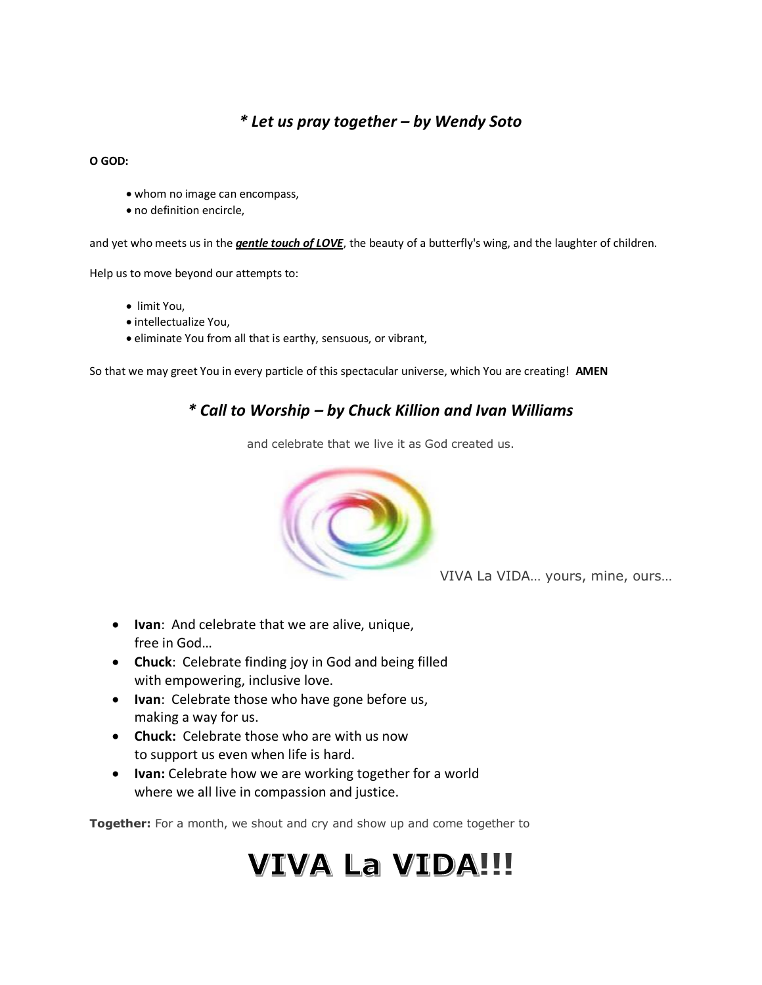### *\* Let us pray together – by Wendy Soto*

#### **O GOD:**

- whom no image can encompass,
- no definition encircle,

and yet who meets us in the *gentle touch of LOVE*, the beauty of a butterfly's wing, and the laughter of children.

Help us to move beyond our attempts to:

- limit You,
- intellectualize You,
- eliminate You from all that is earthy, sensuous, or vibrant,

So that we may greet You in every particle of this spectacular universe, which You are creating! **AMEN**

### *\* Call to Worship – by Chuck Killion and Ivan Williams*

and celebrate that we live it as God created us.



VIVA La VIDA… yours, mine, ours…

- **Ivan**: And celebrate that we are alive, unique, free in God…
- **Chuck**: Celebrate finding joy in God and being filled with empowering, inclusive love.
- **Ivan**: Celebrate those who have gone before us, making a way for us.
- **Chuck:** Celebrate those who are with us now to support us even when life is hard.
- **Ivan:** Celebrate how we are working together for a world where we all live in compassion and justice.

**Together:** For a month, we shout and cry and show up and come together to

# **VIVA La VIDA!!!**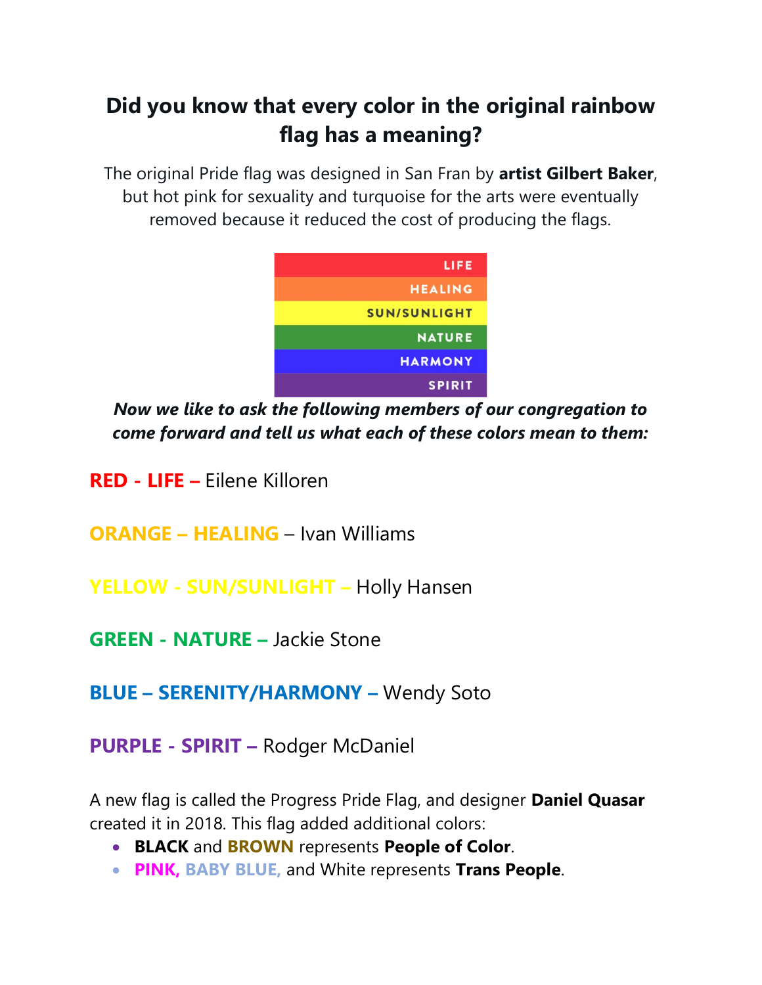# **Did you know that every color in the original rainbow flag has a meaning?**

The original Pride flag was designed in San Fran by **artist Gilbert Baker**, but hot pink for sexuality and turquoise for the arts were eventually removed because it reduced the cost of producing the flags.



*Now we like to ask the following members of our congregation to come forward and tell us what each of these colors mean to them:*

**RED - LIFE –** Eilene Killoren

**ORANGE – HEALING** – Ivan Williams

**YELLOW - SUN/SUNLIGHT –** Holly Hansen

**GREEN - NATURE –** Jackie Stone

**BLUE – SERENITY/HARMONY –** Wendy Soto

**PURPLE - SPIRIT –** Rodger McDaniel

A new flag is called the Progress Pride Flag, and designer **Daniel Quasar**  created it in 2018. This flag added additional colors:

- **BLACK** and **BROWN** represents **People of Color**.
- **PINK, BABY BLUE,** and White represents **Trans People**.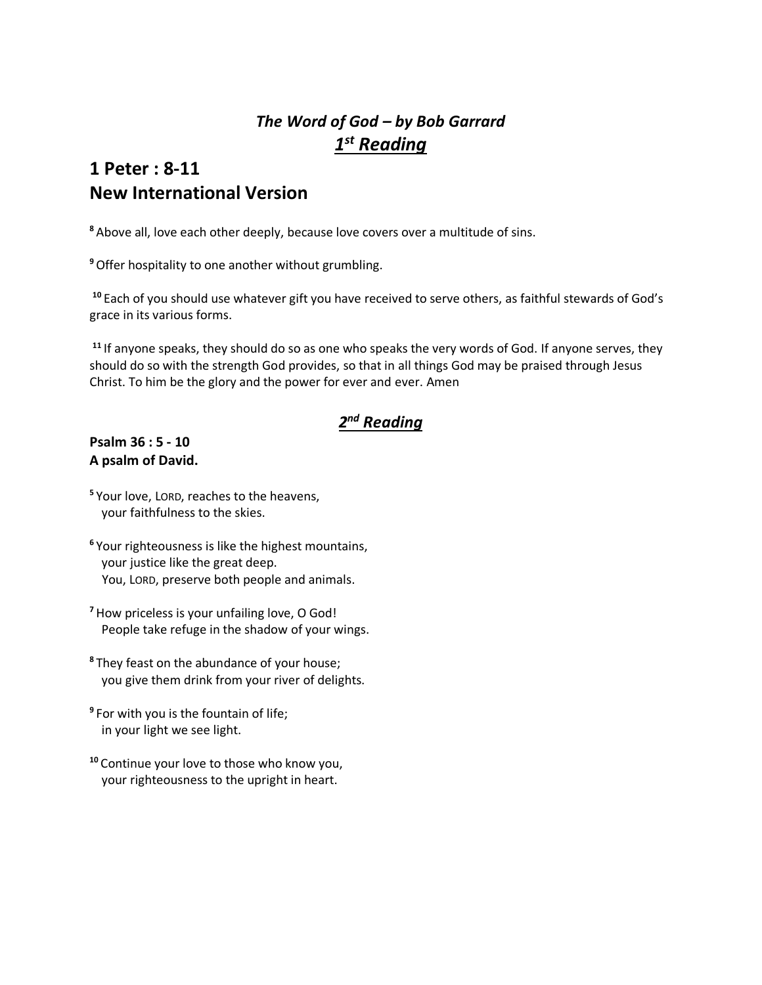# *The Word of God – by Bob Garrard 1 st Reading*

# **1 Peter : 8-11 New International Version**

**<sup>8</sup>** Above all, love each other deeply, because love covers over a multitude of sins.

**<sup>9</sup>**Offer hospitality to one another without grumbling.

**<sup>10</sup>** Each of you should use whatever gift you have received to serve others, as faithful stewards of God's grace in its various forms.

**<sup>11</sup>** If anyone speaks, they should do so as one who speaks the very words of God. If anyone serves, they should do so with the strength God provides, so that in all things God may be praised through Jesus Christ. To him be the glory and the power for ever and ever. Amen

# *2 nd Reading*

#### **Psalm 36 : 5 - 10 A psalm of David.**

- **5** Your love, LORD, reaches to the heavens, your faithfulness to the skies.
- **6** Your righteousness is like the highest mountains, your justice like the great deep. You, LORD, preserve both people and animals.
- **<sup>7</sup>** How priceless is your unfailing love, O God! People take refuge in the shadow of your wings.
- **8** They feast on the abundance of your house; you give them drink from your river of delights.
- **9** For with you is the fountain of life; in your light we see light.
- **<sup>10</sup>** Continue your love to those who know you, your righteousness to the upright in heart.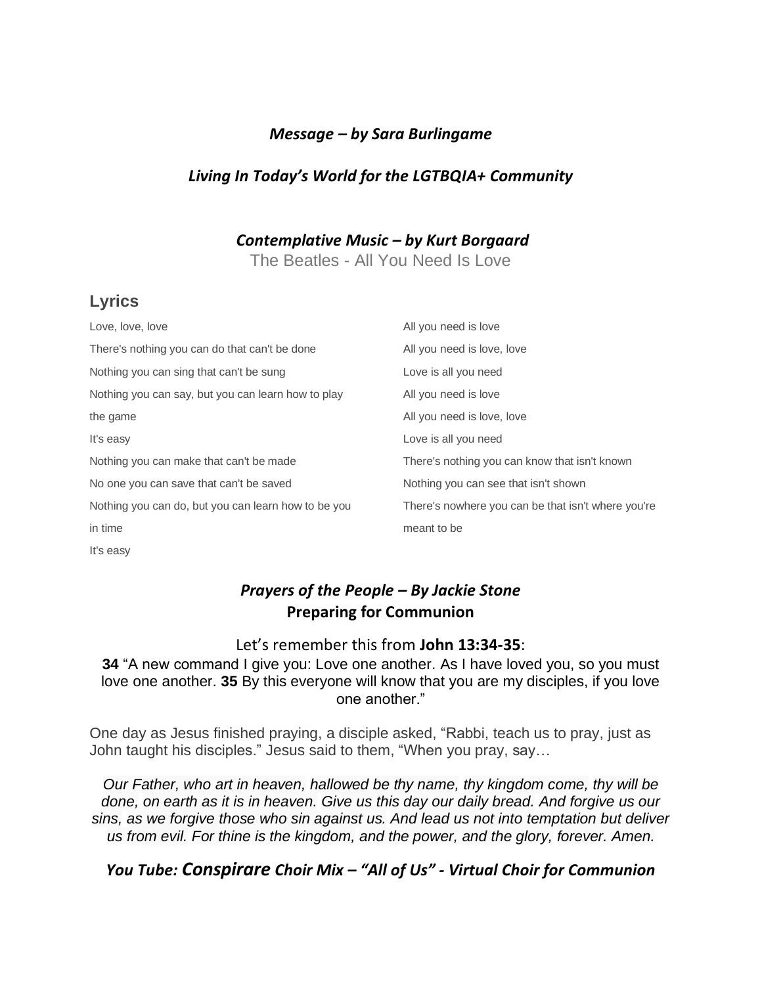#### *Message – by Sara Burlingame*

## *Living In Today's World for the LGTBQIA+ Community*

*Contemplative Music – by Kurt Borgaard*

The Beatles - All You Need Is Love

# **Lyrics**

| Love, love, love                                    | All you need is love                               |
|-----------------------------------------------------|----------------------------------------------------|
| There's nothing you can do that can't be done       | All you need is love, love                         |
| Nothing you can sing that can't be sung             | Love is all you need                               |
| Nothing you can say, but you can learn how to play  | All you need is love                               |
| the game                                            | All you need is love, love                         |
| It's easy                                           | Love is all you need                               |
| Nothing you can make that can't be made             | There's nothing you can know that isn't known      |
| No one you can save that can't be saved             | Nothing you can see that isn't shown               |
| Nothing you can do, but you can learn how to be you | There's nowhere you can be that isn't where you're |
| in time                                             | meant to be                                        |
| It's easy                                           |                                                    |

## *Prayers of the People – By Jackie Stone* **Preparing for Communion**

#### Let's remember this from **John 13:34-35**:

**34** "A new command I give you: Love one another. As I have loved you, so you must love one another. **35** By this everyone will know that you are my disciples, if you love one another."

One day as Jesus finished praying, a disciple asked, "Rabbi, teach us to pray, just as John taught his disciples." Jesus said to them, "When you pray, say…

*Our Father, who art in heaven, hallowed be thy name, thy kingdom come, thy will be done, on earth as it is in heaven. Give us this day our daily bread. And forgive us our sins, as we forgive those who sin against us. And lead us not into temptation but deliver us from evil. For thine is the kingdom, and the power, and the glory, forever. Amen.*

### *You Tube: Conspirare Choir Mix – "All of Us" - Virtual Choir for Communion*